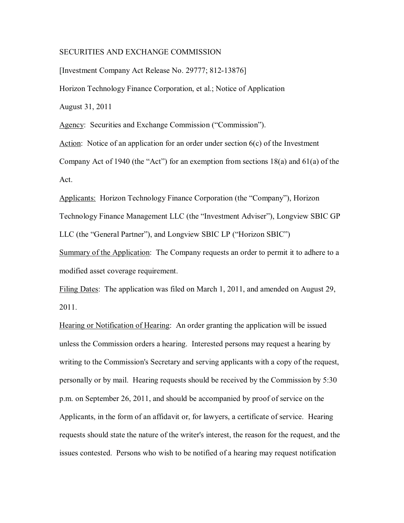## SECURITIES AND EXCHANGE COMMISSION

[Investment Company Act Release No. 29777; 812-13876] Horizon Technology Finance Corporation, et al.; Notice of Application August 31, 2011

Agency: Securities and Exchange Commission ("Commission").

Action: Notice of an application for an order under section 6(c) of the Investment

Company Act of 1940 (the "Act") for an exemption from sections 18(a) and 61(a) of the Act.

Applicants: Horizon Technology Finance Corporation (the "Company"), Horizon Technology Finance Management LLC (the "Investment Adviser"), Longview SBIC GP LLC (the "General Partner"), and Longview SBIC LP ("Horizon SBIC")

Summary of the Application: The Company requests an order to permit it to adhere to a modified asset coverage requirement.

Filing Dates: The application was filed on March 1, 2011, and amended on August 29, 2011.

Hearing or Notification of Hearing: An order granting the application will be issued unless the Commission orders a hearing. Interested persons may request a hearing by writing to the Commission's Secretary and serving applicants with a copy of the request, personally or by mail. Hearing requests should be received by the Commission by 5:30 p.m. on September 26, 2011, and should be accompanied by proof of service on the Applicants, in the form of an affidavit or, for lawyers, a certificate of service. Hearing requests should state the nature of the writer's interest, the reason for the request, and the issues contested. Persons who wish to be notified of a hearing may request notification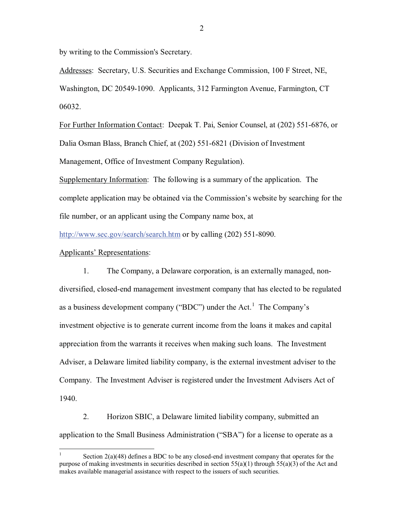by writing to the Commission's Secretary.

Addresses: Secretary, U.S. Securities and Exchange Commission, 100 F Street, NE, Washington, DC 20549-1090. Applicants, 312 Farmington Avenue, Farmington, CT 06032.

For Further Information Contact: Deepak T. Pai, Senior Counsel, at (202) 551-6876, or Dalia Osman Blass, Branch Chief, at (202) 551-6821 (Division of Investment Management, Office of Investment Company Regulation).

Supplementary Information: The following is a summary of the application. The complete application may be obtained via the Commission's website by searching for the file number, or an applicant using the Company name box, at

http://www.sec.gov/search/search.htm or by calling (202) 551-8090.

## Applicants' Representations:

1. The Company, a Delaware corporation, is an externally managed, nondiversified, closed-end management investment company that has elected to be regulated as a business development company ("BDC") under the Act.<sup>1</sup> The Company's investment objective is to generate current income from the loans it makes and capital appreciation from the warrants it receives when making such loans. The Investment Adviser, a Delaware limited liability company, is the external investment adviser to the Company. The Investment Adviser is registered under the Investment Advisers Act of 1940.

2. Horizon SBIC, a Delaware limited liability company, submitted an application to the Small Business Administration ("SBA") for a license to operate as a

Section  $2(a)(48)$  defines a BDC to be any closed-end investment company that operates for the purpose of making investments in securities described in section  $55(a)(1)$  through  $55(a)(3)$  of the Act and makes available managerial assistance with respect to the issuers of such securities.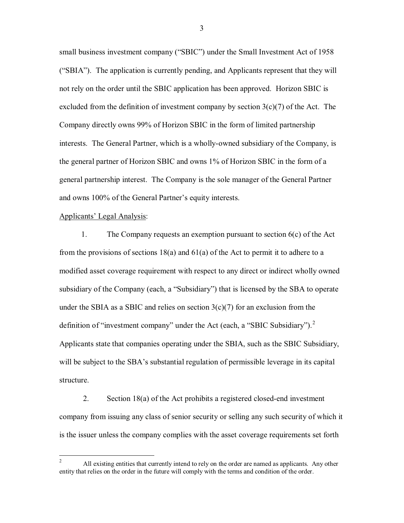small business investment company ("SBIC") under the Small Investment Act of 1958 ("SBIA"). The application is currently pending, and Applicants represent that they will not rely on the order until the SBIC application has been approved. Horizon SBIC is excluded from the definition of investment company by section  $3(c)(7)$  of the Act. The Company directly owns 99% of Horizon SBIC in the form of limited partnership interests. The General Partner, which is a wholly-owned subsidiary of the Company, is the general partner of Horizon SBIC and owns 1% of Horizon SBIC in the form of a general partnership interest. The Company is the sole manager of the General Partner and owns 100% of the General Partner's equity interests.

#### Applicants' Legal Analysis:

 1. The Company requests an exemption pursuant to section 6(c) of the Act from the provisions of sections 18(a) and 61(a) of the Act to permit it to adhere to a modified asset coverage requirement with respect to any direct or indirect wholly owned subsidiary of the Company (each, a "Subsidiary") that is licensed by the SBA to operate under the SBIA as a SBIC and relies on section  $3(c)(7)$  for an exclusion from the definition of "investment company" under the Act (each, a "SBIC Subsidiary").<sup>2</sup> Applicants state that companies operating under the SBIA, such as the SBIC Subsidiary, will be subject to the SBA's substantial regulation of permissible leverage in its capital structure.

2. Section 18(a) of the Act prohibits a registered closed-end investment company from issuing any class of senior security or selling any such security of which it is the issuer unless the company complies with the asset coverage requirements set forth

3

<sup>&</sup>lt;sup>2</sup> All existing entities that currently intend to rely on the order are named as applicants. Any other entity that relies on the order in the future will comply with the terms and condition of the order.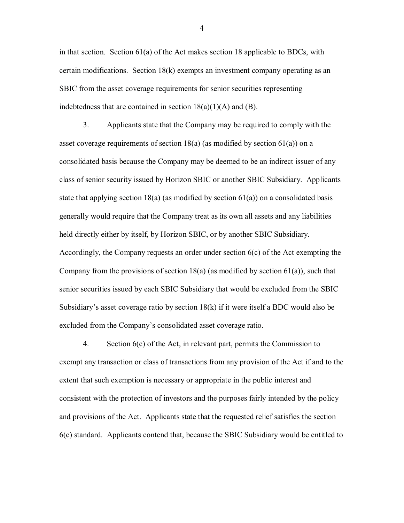in that section. Section  $61(a)$  of the Act makes section 18 applicable to BDCs, with certain modifications. Section 18(k) exempts an investment company operating as an SBIC from the asset coverage requirements for senior securities representing indebtedness that are contained in section  $18(a)(1)(A)$  and  $(B)$ .

3. Applicants state that the Company may be required to comply with the asset coverage requirements of section  $18(a)$  (as modified by section  $61(a)$ ) on a consolidated basis because the Company may be deemed to be an indirect issuer of any class of senior security issued by Horizon SBIC or another SBIC Subsidiary. Applicants state that applying section 18(a) (as modified by section  $61(a)$ ) on a consolidated basis generally would require that the Company treat as its own all assets and any liabilities held directly either by itself, by Horizon SBIC, or by another SBIC Subsidiary. Accordingly, the Company requests an order under section 6(c) of the Act exempting the Company from the provisions of section  $18(a)$  (as modified by section  $61(a)$ ), such that senior securities issued by each SBIC Subsidiary that would be excluded from the SBIC Subsidiary's asset coverage ratio by section 18(k) if it were itself a BDC would also be excluded from the Company's consolidated asset coverage ratio.

4. Section 6(c) of the Act, in relevant part, permits the Commission to exempt any transaction or class of transactions from any provision of the Act if and to the extent that such exemption is necessary or appropriate in the public interest and consistent with the protection of investors and the purposes fairly intended by the policy and provisions of the Act. Applicants state that the requested relief satisfies the section 6(c) standard. Applicants contend that, because the SBIC Subsidiary would be entitled to